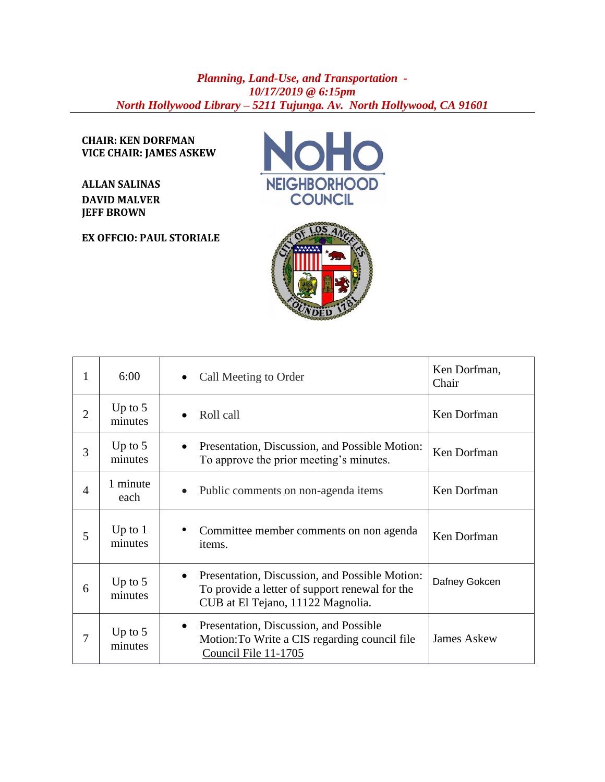## *Planning, Land-Use, and Transportation - 10/17/2019 @ 6:15pm North Hollywood Library – 5211 Tujunga. Av. North Hollywood, CA 91601*

**CHAIR: KEN DORFMAN VICE CHAIR: JAMES ASKEW**

**ALLAN SALINAS DAVID MALVER JEFF BROWN**

**EX OFFCIO: PAUL STORIALE**





| 1              | 6:00                 | Call Meeting to Order                                                                                                                              | Ken Dorfman,<br>Chair |
|----------------|----------------------|----------------------------------------------------------------------------------------------------------------------------------------------------|-----------------------|
| $\overline{2}$ | Up to $5$<br>minutes | Roll call                                                                                                                                          | Ken Dorfman           |
| 3              | Up to $5$<br>minutes | Presentation, Discussion, and Possible Motion:<br>To approve the prior meeting's minutes.                                                          | Ken Dorfman           |
| $\overline{4}$ | 1 minute<br>each     | Public comments on non-agenda items                                                                                                                | Ken Dorfman           |
| 5              | Up to $1$<br>minutes | Committee member comments on non agenda<br>items.                                                                                                  | Ken Dorfman           |
| 6              | Up to $5$<br>minutes | Presentation, Discussion, and Possible Motion:<br>$\bullet$<br>To provide a letter of support renewal for the<br>CUB at El Tejano, 11122 Magnolia. | Dafney Gokcen         |
| 7              | Up to $5$<br>minutes | Presentation, Discussion, and Possible<br>Motion: To Write a CIS regarding council file<br>Council File 11-1705                                    | <b>James Askew</b>    |